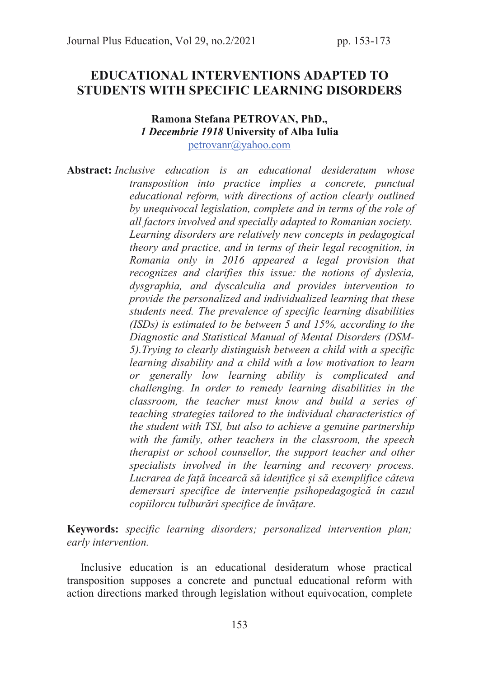# EDUCATIONAL INTERVENTIONS ADAPTED TO STUDENTS WITH SPECIFIC LEARNING DISORDERS

### Ramona Stefana PETROVAN, PhD., *1 Decembrie 1918* University of Alba Iulia

petrovanr@yahoo.com

Abstract: Inclusive education is an educational desideratum whose transposition into practice implies a concrete, punctual educational reform, with directions of action clearly outlined by unequivocal legislation, complete and in terms of the role of all factors involved and specially adapted to Romanian society. Learning disorders are relatively new concepts in pedagogical theory and practice, and in terms of their legal recognition, in Romania only in 2016 appeared a legal provision that recognizes and clarifies this issue: the notions of dyslexia, dysgraphia, and dyscalculia and provides intervention to provide the personalized and individualized learning that these students need. The prevalence of specific learning disabilities (ISDs) is estimated to be between 5 and 15%, according to the Diagnostic and Statistical Manual of Mental Disorders (DSM-5).Trying to clearly distinguish between a child with a specific learning disability and a child with a low motivation to learn or generally low learning ability is complicated and challenging. In order to remedy learning disabilities in the classroom, the teacher must know and build a series of teaching strategies tailored to the individual characteristics of the student with TSI, but also to achieve a genuine partnership with the family, other teachers in the classroom, the speech therapist or school counsellor, the support teacher and other specialists involved in the learning and recovery process. Lucrarea de față încearcă să identifice și să exemplifice câteva demersuri specifice de intervenție psihopedagogică în cazul copiilorcu tulburări specifice de învățare.

Keywords: specific learning disorders; personalized intervention plan; early intervention.

 Inclusive education is an educational desideratum whose practical transposition supposes a concrete and punctual educational reform with action directions marked through legislation without equivocation, complete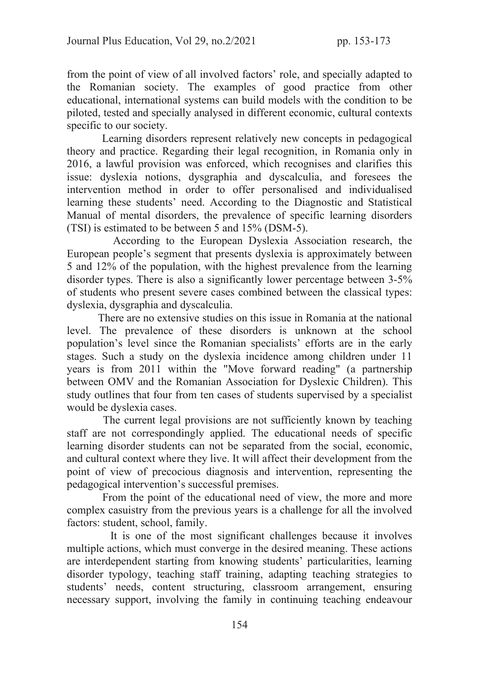from the point of view of all involved factors' role, and specially adapted to the Romanian society. The examples of good practice from other educational, international systems can build models with the condition to be piloted, tested and specially analysed in different economic, cultural contexts specific to our society.

 Learning disorders represent relatively new concepts in pedagogical theory and practice. Regarding their legal recognition, in Romania only in 2016, a lawful provision was enforced, which recognises and clarifies this issue: dyslexia notions, dysgraphia and dyscalculia, and foresees the intervention method in order to offer personalised and individualised learning these students' need. According to the Diagnostic and Statistical Manual of mental disorders, the prevalence of specific learning disorders (TSI) is estimated to be between 5 and 15% (DSM-5).

 According to the European Dyslexia Association research, the European people's segment that presents dyslexia is approximately between 5 and 12% of the population, with the highest prevalence from the learning disorder types. There is also a significantly lower percentage between 3-5% of students who present severe cases combined between the classical types: dyslexia, dysgraphia and dyscalculia.

 There are no extensive studies on this issue in Romania at the national level. The prevalence of these disorders is unknown at the school population's level since the Romanian specialists' efforts are in the early stages. Such a study on the dyslexia incidence among children under 11 years is from 2011 within the "Move forward reading" (a partnership between OMV and the Romanian Association for Dyslexic Children). This study outlines that four from ten cases of students supervised by a specialist would be dyslexia cases.

 The current legal provisions are not sufficiently known by teaching staff are not correspondingly applied. The educational needs of specific learning disorder students can not be separated from the social, economic, and cultural context where they live. It will affect their development from the point of view of precocious diagnosis and intervention, representing the pedagogical intervention's successful premises.

 From the point of the educational need of view, the more and more complex casuistry from the previous years is a challenge for all the involved factors: student, school, family.

 It is one of the most significant challenges because it involves multiple actions, which must converge in the desired meaning. These actions are interdependent starting from knowing students' particularities, learning disorder typology, teaching staff training, adapting teaching strategies to students' needs, content structuring, classroom arrangement, ensuring necessary support, involving the family in continuing teaching endeavour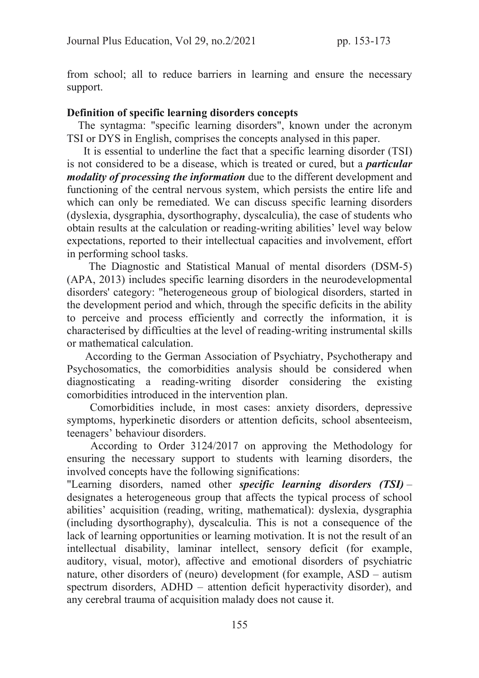from school; all to reduce barriers in learning and ensure the necessary support.

#### Definition of specific learning disorders concepts

 The syntagma: "specific learning disorders", known under the acronym TSI or DYS in English, comprises the concepts analysed in this paper.

 It is essential to underline the fact that a specific learning disorder (TSI) is not considered to be a disease, which is treated or cured, but a *particular modality of processing the information* due to the different development and functioning of the central nervous system, which persists the entire life and which can only be remediated. We can discuss specific learning disorders (dyslexia, dysgraphia, dysorthography, dyscalculia), the case of students who obtain results at the calculation or reading-writing abilities' level way below expectations, reported to their intellectual capacities and involvement, effort in performing school tasks.

The Diagnostic and Statistical Manual of mental disorders (DSM-5) (APA, 2013) includes specific learning disorders in the neurodevelopmental disorders' category: "heterogeneous group of biological disorders, started in the development period and which, through the specific deficits in the ability to perceive and process efficiently and correctly the information, it is characterised by difficulties at the level of reading-writing instrumental skills or mathematical calculation.

 According to the German Association of Psychiatry, Psychotherapy and Psychosomatics, the comorbidities analysis should be considered when diagnosticating a reading-writing disorder considering the existing comorbidities introduced in the intervention plan.

 Comorbidities include, in most cases: anxiety disorders, depressive symptoms, hyperkinetic disorders or attention deficits, school absenteeism, teenagers' behaviour disorders.

 According to Order 3124/2017 on approving the Methodology for ensuring the necessary support to students with learning disorders, the involved concepts have the following significations:

"Learning disorders, named other *specific learning disorders (TSI)* – designates a heterogeneous group that affects the typical process of school abilities' acquisition (reading, writing, mathematical): dyslexia, dysgraphia (including dysorthography), dyscalculia. This is not a consequence of the lack of learning opportunities or learning motivation. It is not the result of an intellectual disability, laminar intellect, sensory deficit (for example, auditory, visual, motor), affective and emotional disorders of psychiatric nature, other disorders of (neuro) development (for example, ASD – autism spectrum disorders, ADHD – attention deficit hyperactivity disorder), and any cerebral trauma of acquisition malady does not cause it.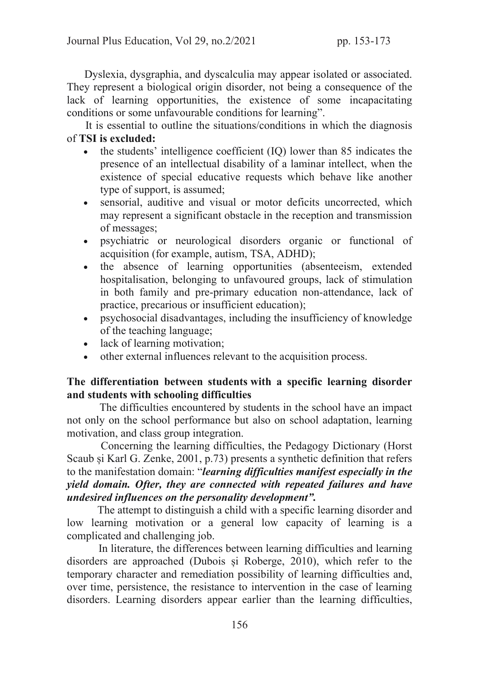Dyslexia, dysgraphia, and dyscalculia may appear isolated or associated. They represent a biological origin disorder, not being a consequence of the lack of learning opportunities, the existence of some incapacitating conditions or some unfavourable conditions for learning".

 It is essential to outline the situations/conditions in which the diagnosis of TSI is excluded:

- · the students' intelligence coefficient (IQ) lower than 85 indicates the presence of an intellectual disability of a laminar intellect, when the existence of special educative requests which behave like another type of support, is assumed;
- · sensorial, auditive and visual or motor deficits uncorrected, which may represent a significant obstacle in the reception and transmission of messages;
- · psychiatric or neurological disorders organic or functional of acquisition (for example, autism, TSA, ADHD);
- · the absence of learning opportunities (absenteeism, extended hospitalisation, belonging to unfavoured groups, lack of stimulation in both family and pre-primary education non-attendance, lack of practice, precarious or insufficient education);
- · psychosocial disadvantages, including the insufficiency of knowledge of the teaching language;
- lack of learning motivation;
- · other external influences relevant to the acquisition process.

### The differentiation between students with a specific learning disorder and students with schooling difficulties

 The difficulties encountered by students in the school have an impact not only on the school performance but also on school adaptation, learning motivation, and class group integration.

 Concerning the learning difficulties, the Pedagogy Dictionary (Horst Scaub și Karl G. Zenke, 2001, p.73) presents a synthetic definition that refers to the manifestation domain: "*learning difficulties manifest especially in the yield domain. Ofter, they are connected with repeated failures and have undesired influences on the personality development".* 

 The attempt to distinguish a child with a specific learning disorder and low learning motivation or a general low capacity of learning is a complicated and challenging job.

 In literature, the differences between learning difficulties and learning disorders are approached (Dubois și Roberge, 2010), which refer to the temporary character and remediation possibility of learning difficulties and, over time, persistence, the resistance to intervention in the case of learning disorders. Learning disorders appear earlier than the learning difficulties,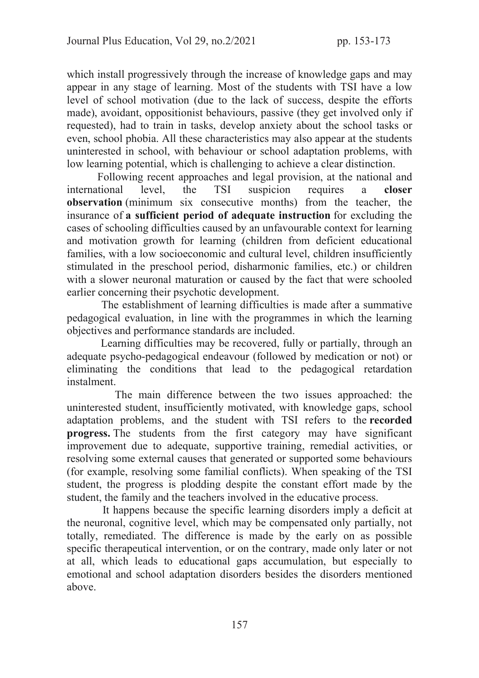which install progressively through the increase of knowledge gaps and may appear in any stage of learning. Most of the students with TSI have a low level of school motivation (due to the lack of success, despite the efforts made), avoidant, oppositionist behaviours, passive (they get involved only if requested), had to train in tasks, develop anxiety about the school tasks or even, school phobia. All these characteristics may also appear at the students uninterested in school, with behaviour or school adaptation problems, with low learning potential, which is challenging to achieve a clear distinction.

 Following recent approaches and legal provision, at the national and international level, the TSI suspicion requires a closer observation (minimum six consecutive months) from the teacher, the insurance of a sufficient period of adequate instruction for excluding the cases of schooling difficulties caused by an unfavourable context for learning and motivation growth for learning (children from deficient educational families, with a low socioeconomic and cultural level, children insufficiently stimulated in the preschool period, disharmonic families, etc.) or children with a slower neuronal maturation or caused by the fact that were schooled earlier concerning their psychotic development.

 The establishment of learning difficulties is made after a summative pedagogical evaluation, in line with the programmes in which the learning objectives and performance standards are included.

 Learning difficulties may be recovered, fully or partially, through an adequate psycho-pedagogical endeavour (followed by medication or not) or eliminating the conditions that lead to the pedagogical retardation instalment.

 The main difference between the two issues approached: the uninterested student, insufficiently motivated, with knowledge gaps, school adaptation problems, and the student with TSI refers to the recorded progress. The students from the first category may have significant improvement due to adequate, supportive training, remedial activities, or resolving some external causes that generated or supported some behaviours (for example, resolving some familial conflicts). When speaking of the TSI student, the progress is plodding despite the constant effort made by the student, the family and the teachers involved in the educative process.

 It happens because the specific learning disorders imply a deficit at the neuronal, cognitive level, which may be compensated only partially, not totally, remediated. The difference is made by the early on as possible specific therapeutical intervention, or on the contrary, made only later or not at all, which leads to educational gaps accumulation, but especially to emotional and school adaptation disorders besides the disorders mentioned above.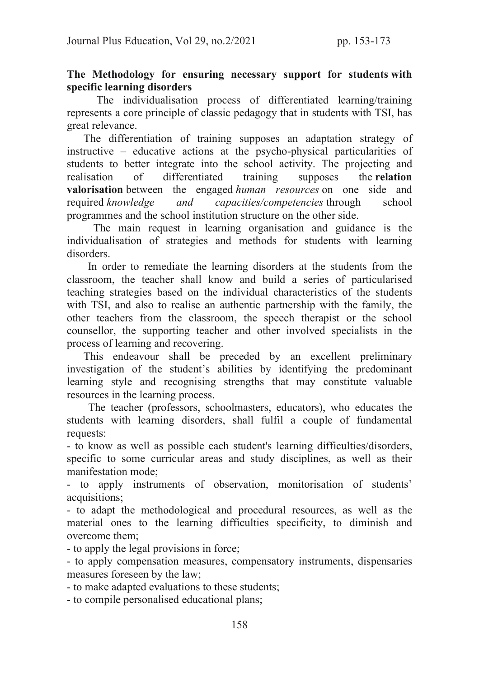### The Methodology for ensuring necessary support for students with specific learning disorders

 The individualisation process of differentiated learning/training represents a core principle of classic pedagogy that in students with TSI, has great relevance.

 The differentiation of training supposes an adaptation strategy of instructive – educative actions at the psycho-physical particularities of students to better integrate into the school activity. The projecting and realisation of differentiated training supposes the relation valorisation between the engaged human resources on one side and required knowledge and capacities/competencies through school programmes and the school institution structure on the other side.

 The main request in learning organisation and guidance is the individualisation of strategies and methods for students with learning disorders.

 In order to remediate the learning disorders at the students from the classroom, the teacher shall know and build a series of particularised teaching strategies based on the individual characteristics of the students with TSI, and also to realise an authentic partnership with the family, the other teachers from the classroom, the speech therapist or the school counsellor, the supporting teacher and other involved specialists in the process of learning and recovering.

 This endeavour shall be preceded by an excellent preliminary investigation of the student's abilities by identifying the predominant learning style and recognising strengths that may constitute valuable resources in the learning process.

 The teacher (professors, schoolmasters, educators), who educates the students with learning disorders, shall fulfil a couple of fundamental requests:

- to know as well as possible each student's learning difficulties/disorders, specific to some curricular areas and study disciplines, as well as their manifestation mode;

- to apply instruments of observation, monitorisation of students' acquisitions;

- to adapt the methodological and procedural resources, as well as the material ones to the learning difficulties specificity, to diminish and overcome them;

- to apply the legal provisions in force;

- to apply compensation measures, compensatory instruments, dispensaries measures foreseen by the law;

- to make adapted evaluations to these students;

- to compile personalised educational plans;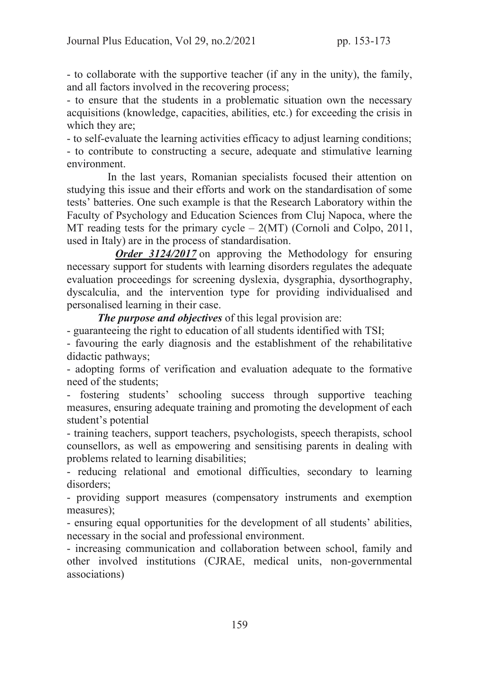- to collaborate with the supportive teacher (if any in the unity), the family, and all factors involved in the recovering process;

- to ensure that the students in a problematic situation own the necessary acquisitions (knowledge, capacities, abilities, etc.) for exceeding the crisis in which they are;

- to self-evaluate the learning activities efficacy to adjust learning conditions; - to contribute to constructing a secure, adequate and stimulative learning environment.

 In the last years, Romanian specialists focused their attention on studying this issue and their efforts and work on the standardisation of some tests' batteries. One such example is that the Research Laboratory within the Faculty of Psychology and Education Sciences from Cluj Napoca, where the MT reading tests for the primary cycle  $-2(MT)$  (Cornoli and Colpo, 2011, used in Italy) are in the process of standardisation.

*Order 3124/2017* on approving the Methodology for ensuring necessary support for students with learning disorders regulates the adequate evaluation proceedings for screening dyslexia, dysgraphia, dysorthography, dyscalculia, and the intervention type for providing individualised and personalised learning in their case.

*The purpose and objectives* of this legal provision are:

- guaranteeing the right to education of all students identified with TSI;

- favouring the early diagnosis and the establishment of the rehabilitative didactic pathways;

- adopting forms of verification and evaluation adequate to the formative need of the students;

- fostering students' schooling success through supportive teaching measures, ensuring adequate training and promoting the development of each student's potential

- training teachers, support teachers, psychologists, speech therapists, school counsellors, as well as empowering and sensitising parents in dealing with problems related to learning disabilities;

- reducing relational and emotional difficulties, secondary to learning disorders;

- providing support measures (compensatory instruments and exemption measures);

- ensuring equal opportunities for the development of all students' abilities, necessary in the social and professional environment.

- increasing communication and collaboration between school, family and other involved institutions (CJRAE, medical units, non-governmental associations)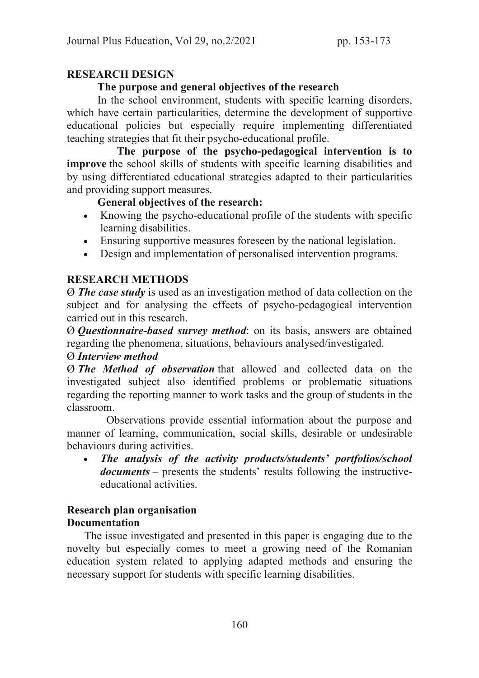# RESEARCH DESIGN

### The purpose and general objectives of the research

 In the school environment, students with specific learning disorders, which have certain particularities, determine the development of supportive educational policies but especially require implementing differentiated teaching strategies that fit their psycho-educational profile.

 The purpose of the psycho-pedagogical intervention is to improve the school skills of students with specific learning disabilities and by using differentiated educational strategies adapted to their particularities and providing support measures.

### General objectives of the research:

- · Knowing the psycho-educational profile of the students with specific learning disabilities.
- · Ensuring supportive measures foreseen by the national legislation.
- · Design and implementation of personalised intervention programs.

# RESEARCH METHODS

Ø *The case study* is used as an investigation method of data collection on the subject and for analysing the effects of psycho-pedagogical intervention carried out in this research.

Ø *Questionnaire-based survey method*: on its basis, answers are obtained regarding the phenomena, situations, behaviours analysed/investigated.

### Ø *Interview method*

Ø *The Method of observation* that allowed and collected data on the investigated subject also identified problems or problematic situations regarding the reporting manner to work tasks and the group of students in the classroom.

 Observations provide essential information about the purpose and manner of learning, communication, social skills, desirable or undesirable behaviours during activities.

· *The analysis of the activity products/students' portfolios/school documents* – presents the students' results following the instructiveeducational activities.

### Research plan organisation **Documentation**

 The issue investigated and presented in this paper is engaging due to the novelty but especially comes to meet a growing need of the Romanian education system related to applying adapted methods and ensuring the necessary support for students with specific learning disabilities.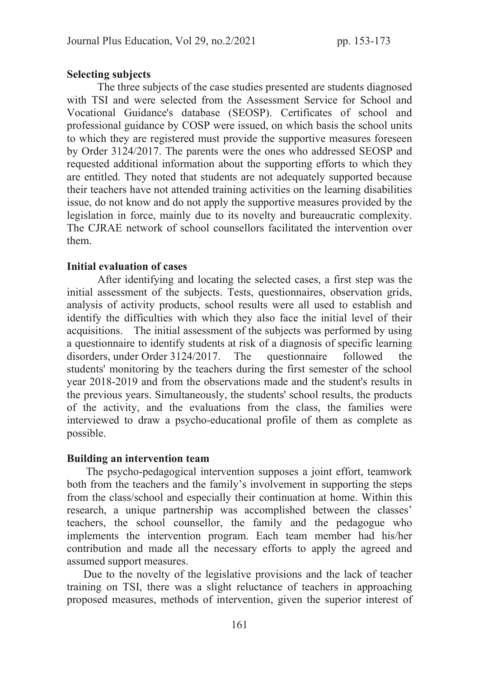#### Selecting subjects

 The three subjects of the case studies presented are students diagnosed with TSI and were selected from the Assessment Service for School and Vocational Guidance's database (SEOSP). Certificates of school and professional guidance by COSP were issued, on which basis the school units to which they are registered must provide the supportive measures foreseen by Order 3124/2017. The parents were the ones who addressed SEOSP and requested additional information about the supporting efforts to which they are entitled. They noted that students are not adequately supported because their teachers have not attended training activities on the learning disabilities issue, do not know and do not apply the supportive measures provided by the legislation in force, mainly due to its novelty and bureaucratic complexity. The CJRAE network of school counsellors facilitated the intervention over them.

#### Initial evaluation of cases

 After identifying and locating the selected cases, a first step was the initial assessment of the subjects. Tests, questionnaires, observation grids, analysis of activity products, school results were all used to establish and identify the difficulties with which they also face the initial level of their acquisitions. The initial assessment of the subjects was performed by using a questionnaire to identify students at risk of a diagnosis of specific learning disorders, under Order 3124/2017. The questionnaire followed the students' monitoring by the teachers during the first semester of the school year 2018-2019 and from the observations made and the student's results in the previous years. Simultaneously, the students' school results, the products of the activity, and the evaluations from the class, the families were interviewed to draw a psycho-educational profile of them as complete as possible.

#### Building an intervention team

 The psycho-pedagogical intervention supposes a joint effort, teamwork both from the teachers and the family's involvement in supporting the steps from the class/school and especially their continuation at home. Within this research, a unique partnership was accomplished between the classes' teachers, the school counsellor, the family and the pedagogue who implements the intervention program. Each team member had his/her contribution and made all the necessary efforts to apply the agreed and assumed support measures.

 Due to the novelty of the legislative provisions and the lack of teacher training on TSI, there was a slight reluctance of teachers in approaching proposed measures, methods of intervention, given the superior interest of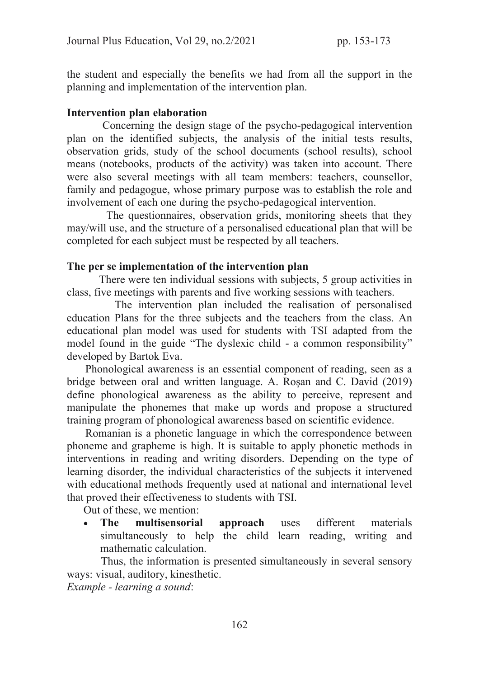the student and especially the benefits we had from all the support in the planning and implementation of the intervention plan.

### Intervention plan elaboration

 Concerning the design stage of the psycho-pedagogical intervention plan on the identified subjects, the analysis of the initial tests results, observation grids, study of the school documents (school results), school means (notebooks, products of the activity) was taken into account. There were also several meetings with all team members: teachers, counsellor, family and pedagogue, whose primary purpose was to establish the role and involvement of each one during the psycho-pedagogical intervention.

 The questionnaires, observation grids, monitoring sheets that they may/will use, and the structure of a personalised educational plan that will be completed for each subject must be respected by all teachers.

#### The per se implementation of the intervention plan

 There were ten individual sessions with subjects, 5 group activities in class, five meetings with parents and five working sessions with teachers.

 The intervention plan included the realisation of personalised education Plans for the three subjects and the teachers from the class. An educational plan model was used for students with TSI adapted from the model found in the guide "The dyslexic child - a common responsibility" developed by Bartok Eva.

 Phonological awareness is an essential component of reading, seen as a bridge between oral and written language. A. Roșan and C. David (2019) define phonological awareness as the ability to perceive, represent and manipulate the phonemes that make up words and propose a structured training program of phonological awareness based on scientific evidence.

 Romanian is a phonetic language in which the correspondence between phoneme and grapheme is high. It is suitable to apply phonetic methods in interventions in reading and writing disorders. Depending on the type of learning disorder, the individual characteristics of the subjects it intervened with educational methods frequently used at national and international level that proved their effectiveness to students with TSI.

Out of these, we mention:

The multisensorial approach uses different materials simultaneously to help the child learn reading, writing and mathematic calculation.

 Thus, the information is presented simultaneously in several sensory ways: visual, auditory, kinesthetic.

Example - learning a sound: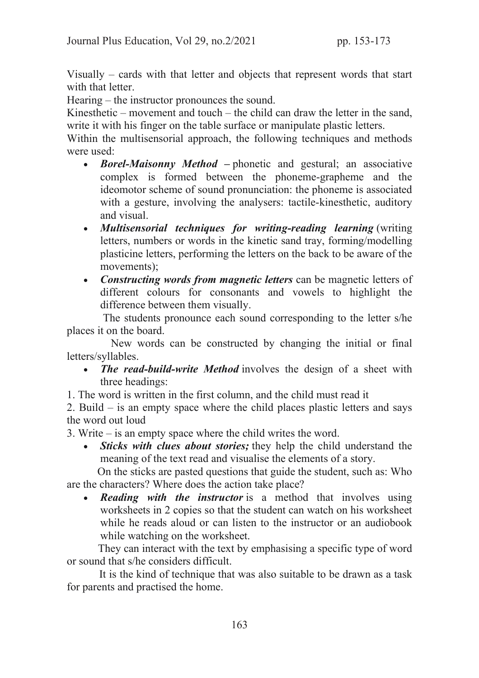Visually – cards with that letter and objects that represent words that start with that letter.

Hearing – the instructor pronounces the sound.

Kinesthetic – movement and touch – the child can draw the letter in the sand, write it with his finger on the table surface or manipulate plastic letters.

Within the multisensorial approach, the following techniques and methods were used:

- · *Borel-Maisonny Method* phonetic and gestural; an associative complex is formed between the phoneme-grapheme and the ideomotor scheme of sound pronunciation: the phoneme is associated with a gesture, involving the analysers: tactile-kinesthetic, auditory and visual.
- · *Multisensorial techniques for writing-reading learning* (writing letters, numbers or words in the kinetic sand tray, forming/modelling plasticine letters, performing the letters on the back to be aware of the movements);
- · *Constructing words from magnetic letters* can be magnetic letters of different colours for consonants and vowels to highlight the difference between them visually.

 The students pronounce each sound corresponding to the letter s/he places it on the board.

 New words can be constructed by changing the initial or final letters/syllables.

- *The read-build-write Method* involves the design of a sheet with three headings:
- 1. The word is written in the first column, and the child must read it

2. Build – is an empty space where the child places plastic letters and says the word out loud

3. Write – is an empty space where the child writes the word.

· *Sticks with clues about stories;* they help the child understand the meaning of the text read and visualise the elements of a story.

 On the sticks are pasted questions that guide the student, such as: Who are the characters? Where does the action take place?

**Reading with the instructor** is a method that involves using worksheets in 2 copies so that the student can watch on his worksheet while he reads aloud or can listen to the instructor or an audiobook while watching on the worksheet.

 They can interact with the text by emphasising a specific type of word or sound that s/he considers difficult.

 It is the kind of technique that was also suitable to be drawn as a task for parents and practised the home.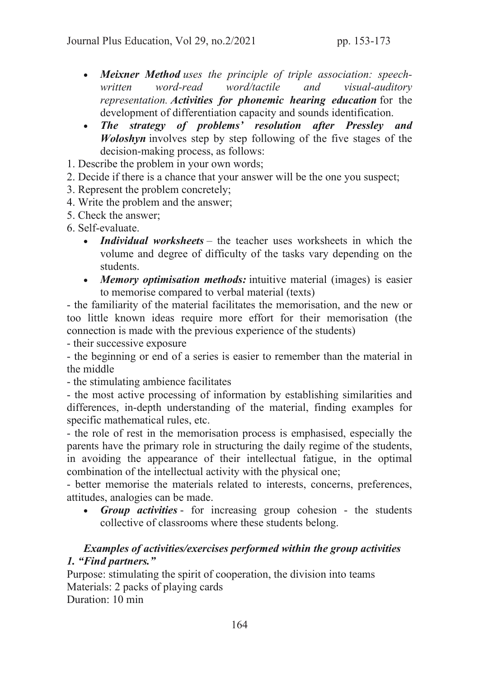- · *Meixner Method* uses the principle of triple association: speechwritten word-read word/tactile and visual-auditory representation. *Activities for phonemic hearing education* for the development of differentiation capacity and sounds identification.
- · *The strategy of problems' resolution after Pressley and Woloshyn* involves step by step following of the five stages of the decision-making process, as follows:
- 1. Describe the problem in your own words;
- 2. Decide if there is a chance that your answer will be the one you suspect;
- 3. Represent the problem concretely;
- 4. Write the problem and the answer;
- 5. Check the answer;
- 6. Self-evaluate.
	- · *Individual worksheets*  the teacher uses worksheets in which the volume and degree of difficulty of the tasks vary depending on the students.
	- · *Memory optimisation methods:* intuitive material (images) is easier to memorise compared to verbal material (texts)

- the familiarity of the material facilitates the memorisation, and the new or too little known ideas require more effort for their memorisation (the connection is made with the previous experience of the students)

- their successive exposure

- the beginning or end of a series is easier to remember than the material in the middle

- the stimulating ambience facilitates

- the most active processing of information by establishing similarities and differences, in-depth understanding of the material, finding examples for specific mathematical rules, etc.

- the role of rest in the memorisation process is emphasised, especially the parents have the primary role in structuring the daily regime of the students, in avoiding the appearance of their intellectual fatigue, in the optimal combination of the intellectual activity with the physical one;

- better memorise the materials related to interests, concerns, preferences, attitudes, analogies can be made.

· *Group activities* - for increasing group cohesion - the students collective of classrooms where these students belong.

# *Examples of activities/exercises performed within the group activities 1. "Find partners."*

Purpose: stimulating the spirit of cooperation, the division into teams Materials: 2 packs of playing cards Duration: 10 min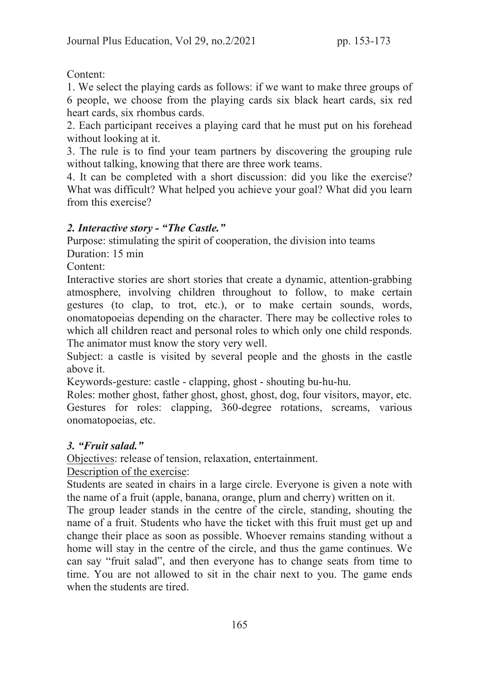Content:

1. We select the playing cards as follows: if we want to make three groups of 6 people, we choose from the playing cards six black heart cards, six red heart cards, six rhombus cards.

2. Each participant receives a playing card that he must put on his forehead without looking at it.

3. The rule is to find your team partners by discovering the grouping rule without talking, knowing that there are three work teams.

4. It can be completed with a short discussion: did you like the exercise? What was difficult? What helped you achieve your goal? What did you learn from this exercise?

# *2. Interactive story - "The Castle."*

Purpose: stimulating the spirit of cooperation, the division into teams

Duration: 15 min

Content:

Interactive stories are short stories that create a dynamic, attention-grabbing atmosphere, involving children throughout to follow, to make certain gestures (to clap, to trot, etc.), or to make certain sounds, words, onomatopoeias depending on the character. There may be collective roles to which all children react and personal roles to which only one child responds. The animator must know the story very well.

Subject: a castle is visited by several people and the ghosts in the castle above it.

Keywords-gesture: castle - clapping, ghost - shouting bu-hu-hu.

Roles: mother ghost, father ghost, ghost, ghost, dog, four visitors, mayor, etc. Gestures for roles: clapping, 360-degree rotations, screams, various onomatopoeias, etc.

# *3. "Fruit salad."*

Objectives: release of tension, relaxation, entertainment.

Description of the exercise:

Students are seated in chairs in a large circle. Everyone is given a note with the name of a fruit (apple, banana, orange, plum and cherry) written on it.

The group leader stands in the centre of the circle, standing, shouting the name of a fruit. Students who have the ticket with this fruit must get up and change their place as soon as possible. Whoever remains standing without a home will stay in the centre of the circle, and thus the game continues. We can say "fruit salad", and then everyone has to change seats from time to time. You are not allowed to sit in the chair next to you. The game ends when the students are tired.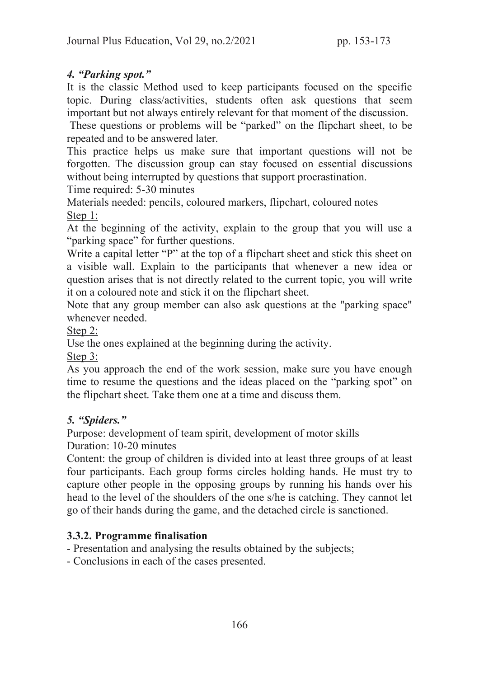# *4. "Parking spot."*

It is the classic Method used to keep participants focused on the specific topic. During class/activities, students often ask questions that seem important but not always entirely relevant for that moment of the discussion.

 These questions or problems will be "parked" on the flipchart sheet, to be repeated and to be answered later.

This practice helps us make sure that important questions will not be forgotten. The discussion group can stay focused on essential discussions without being interrupted by questions that support procrastination.

Time required: 5-30 minutes

Materials needed: pencils, coloured markers, flipchart, coloured notes Step 1:

At the beginning of the activity, explain to the group that you will use a "parking space" for further questions.

Write a capital letter "P" at the top of a flipchart sheet and stick this sheet on a visible wall. Explain to the participants that whenever a new idea or question arises that is not directly related to the current topic, you will write it on a coloured note and stick it on the flipchart sheet.

Note that any group member can also ask questions at the "parking space" whenever needed.

Step 2:

Use the ones explained at the beginning during the activity.

Step 3:

As you approach the end of the work session, make sure you have enough time to resume the questions and the ideas placed on the "parking spot" on the flipchart sheet. Take them one at a time and discuss them.

# *5. "Spiders."*

Purpose: development of team spirit, development of motor skills Duration: 10-20 minutes

Content: the group of children is divided into at least three groups of at least four participants. Each group forms circles holding hands. He must try to capture other people in the opposing groups by running his hands over his head to the level of the shoulders of the one s/he is catching. They cannot let go of their hands during the game, and the detached circle is sanctioned.

# 3.3.2. Programme finalisation

- Presentation and analysing the results obtained by the subjects;

- Conclusions in each of the cases presented.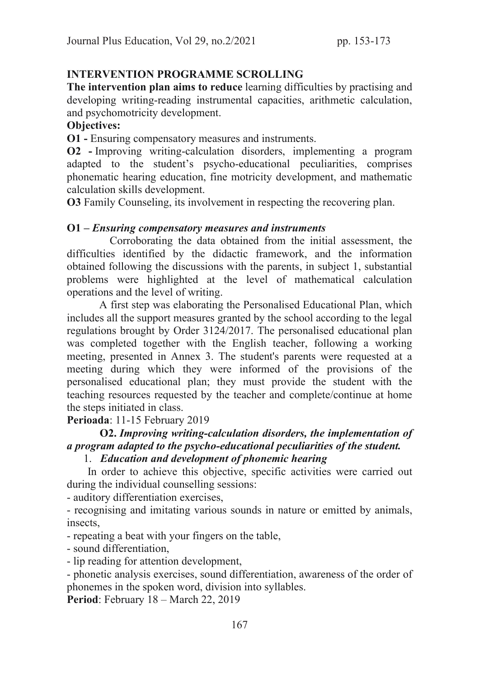### INTERVENTION PROGRAMME SCROLLING

The intervention plan aims to reduce learning difficulties by practising and developing writing-reading instrumental capacities, arithmetic calculation, and psychomotricity development.

### Objectives:

O1 - Ensuring compensatory measures and instruments.

O2 - Improving writing-calculation disorders, implementing a program adapted to the student's psycho-educational peculiarities, comprises phonematic hearing education, fine motricity development, and mathematic calculation skills development.

O3 Family Counseling, its involvement in respecting the recovering plan.

#### O1 – *Ensuring compensatory measures and instruments*

 Corroborating the data obtained from the initial assessment, the difficulties identified by the didactic framework, and the information obtained following the discussions with the parents, in subject 1, substantial problems were highlighted at the level of mathematical calculation operations and the level of writing.

 A first step was elaborating the Personalised Educational Plan, which includes all the support measures granted by the school according to the legal regulations brought by Order 3124/2017. The personalised educational plan was completed together with the English teacher, following a working meeting, presented in Annex 3. The student's parents were requested at a meeting during which they were informed of the provisions of the personalised educational plan; they must provide the student with the teaching resources requested by the teacher and complete/continue at home the steps initiated in class.

Perioada: 11-15 February 2019

# O2. *Improving writing-calculation disorders, the implementation of a program adapted to the psycho-educational peculiarities of the student.*

# 1. *Education and development of phonemic hearing*

 In order to achieve this objective, specific activities were carried out during the individual counselling sessions:

- auditory differentiation exercises,

- recognising and imitating various sounds in nature or emitted by animals, insects,

- repeating a beat with your fingers on the table,

- sound differentiation,

- lip reading for attention development,

- phonetic analysis exercises, sound differentiation, awareness of the order of phonemes in the spoken word, division into syllables.

Period: February 18 – March 22, 2019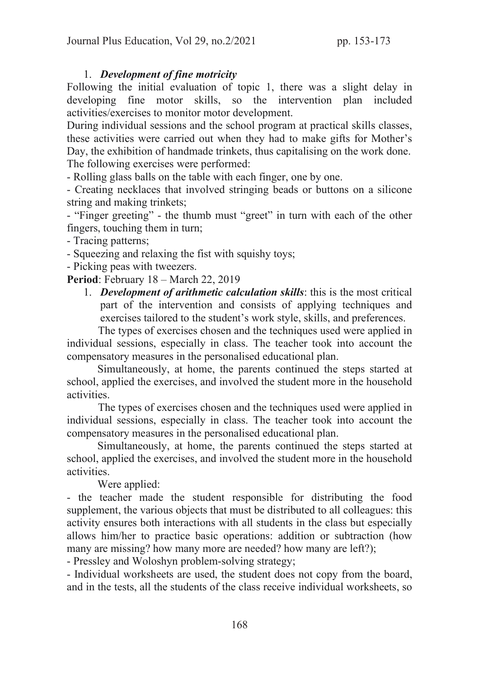### 1. *Development of fine motricity*

Following the initial evaluation of topic 1, there was a slight delay in developing fine motor skills, so the intervention plan included activities/exercises to monitor motor development.

During individual sessions and the school program at practical skills classes, these activities were carried out when they had to make gifts for Mother's Day, the exhibition of handmade trinkets, thus capitalising on the work done. The following exercises were performed:

- Rolling glass balls on the table with each finger, one by one.

- Creating necklaces that involved stringing beads or buttons on a silicone string and making trinkets;

- "Finger greeting" - the thumb must "greet" in turn with each of the other fingers, touching them in turn;

- Tracing patterns;

- Squeezing and relaxing the fist with squishy toys;

- Picking peas with tweezers.

Period: February 18 – March 22, 2019

1. *Development of arithmetic calculation skills*: this is the most critical part of the intervention and consists of applying techniques and exercises tailored to the student's work style, skills, and preferences.

 The types of exercises chosen and the techniques used were applied in individual sessions, especially in class. The teacher took into account the compensatory measures in the personalised educational plan.

 Simultaneously, at home, the parents continued the steps started at school, applied the exercises, and involved the student more in the household activities.

 The types of exercises chosen and the techniques used were applied in individual sessions, especially in class. The teacher took into account the compensatory measures in the personalised educational plan.

 Simultaneously, at home, the parents continued the steps started at school, applied the exercises, and involved the student more in the household activities.

Were applied:

- the teacher made the student responsible for distributing the food supplement, the various objects that must be distributed to all colleagues: this activity ensures both interactions with all students in the class but especially allows him/her to practice basic operations: addition or subtraction (how many are missing? how many more are needed? how many are left?);

- Pressley and Woloshyn problem-solving strategy;

- Individual worksheets are used, the student does not copy from the board, and in the tests, all the students of the class receive individual worksheets, so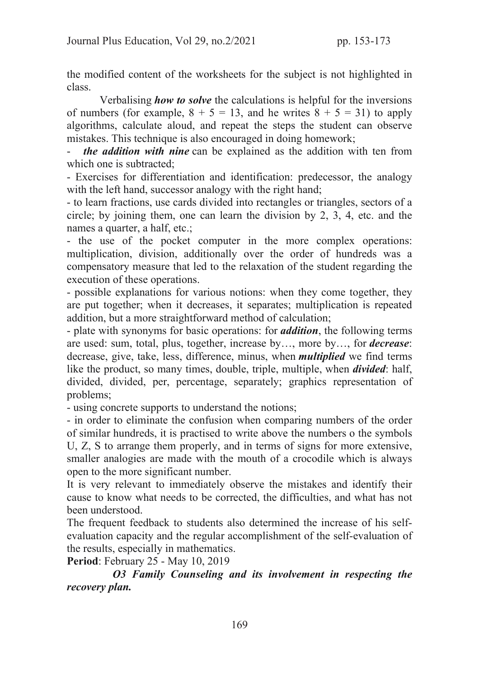the modified content of the worksheets for the subject is not highlighted in class.

 Verbalising *how to solve* the calculations is helpful for the inversions of numbers (for example,  $8 + 5 = 13$ , and he writes  $8 + 5 = 31$ ) to apply algorithms, calculate aloud, and repeat the steps the student can observe mistakes. This technique is also encouraged in doing homework;

*the addition with nine* can be explained as the addition with ten from which one is subtracted;

- Exercises for differentiation and identification: predecessor, the analogy with the left hand, successor analogy with the right hand;

- to learn fractions, use cards divided into rectangles or triangles, sectors of a circle; by joining them, one can learn the division by 2, 3, 4, etc. and the names a quarter, a half, etc.;

- the use of the pocket computer in the more complex operations: multiplication, division, additionally over the order of hundreds was a compensatory measure that led to the relaxation of the student regarding the execution of these operations.

- possible explanations for various notions: when they come together, they are put together; when it decreases, it separates; multiplication is repeated addition, but a more straightforward method of calculation;

- plate with synonyms for basic operations: for *addition*, the following terms are used: sum, total, plus, together, increase by…, more by…, for *decrease*: decrease, give, take, less, difference, minus, when *multiplied* we find terms like the product, so many times, double, triple, multiple, when *divided*: half, divided, divided, per, percentage, separately; graphics representation of problems;

- using concrete supports to understand the notions;

- in order to eliminate the confusion when comparing numbers of the order of similar hundreds, it is practised to write above the numbers o the symbols U, Z, S to arrange them properly, and in terms of signs for more extensive, smaller analogies are made with the mouth of a crocodile which is always open to the more significant number.

It is very relevant to immediately observe the mistakes and identify their cause to know what needs to be corrected, the difficulties, and what has not been understood.

The frequent feedback to students also determined the increase of his selfevaluation capacity and the regular accomplishment of the self-evaluation of the results, especially in mathematics.

Period: February 25 - May 10, 2019

 *O3 Family Counseling and its involvement in respecting the recovery plan.*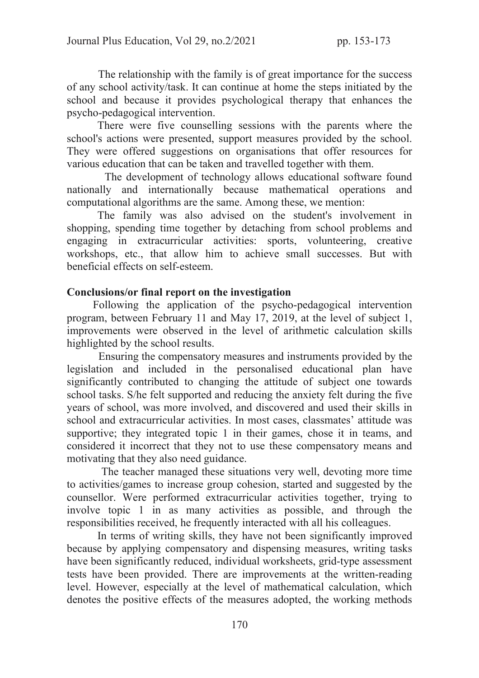The relationship with the family is of great importance for the success of any school activity/task. It can continue at home the steps initiated by the school and because it provides psychological therapy that enhances the psycho-pedagogical intervention.

 There were five counselling sessions with the parents where the school's actions were presented, support measures provided by the school. They were offered suggestions on organisations that offer resources for various education that can be taken and travelled together with them.

 The development of technology allows educational software found nationally and internationally because mathematical operations and computational algorithms are the same. Among these, we mention:

 The family was also advised on the student's involvement in shopping, spending time together by detaching from school problems and engaging in extracurricular activities: sports, volunteering, creative workshops, etc., that allow him to achieve small successes. But with beneficial effects on self-esteem.

#### Conclusions/or final report on the investigation

 Following the application of the psycho-pedagogical intervention program, between February 11 and May 17, 2019, at the level of subject 1, improvements were observed in the level of arithmetic calculation skills highlighted by the school results.

 Ensuring the compensatory measures and instruments provided by the legislation and included in the personalised educational plan have significantly contributed to changing the attitude of subject one towards school tasks. S/he felt supported and reducing the anxiety felt during the five years of school, was more involved, and discovered and used their skills in school and extracurricular activities. In most cases, classmates' attitude was supportive; they integrated topic 1 in their games, chose it in teams, and considered it incorrect that they not to use these compensatory means and motivating that they also need guidance.

 The teacher managed these situations very well, devoting more time to activities/games to increase group cohesion, started and suggested by the counsellor. Were performed extracurricular activities together, trying to involve topic 1 in as many activities as possible, and through the responsibilities received, he frequently interacted with all his colleagues.

 In terms of writing skills, they have not been significantly improved because by applying compensatory and dispensing measures, writing tasks have been significantly reduced, individual worksheets, grid-type assessment tests have been provided. There are improvements at the written-reading level. However, especially at the level of mathematical calculation, which denotes the positive effects of the measures adopted, the working methods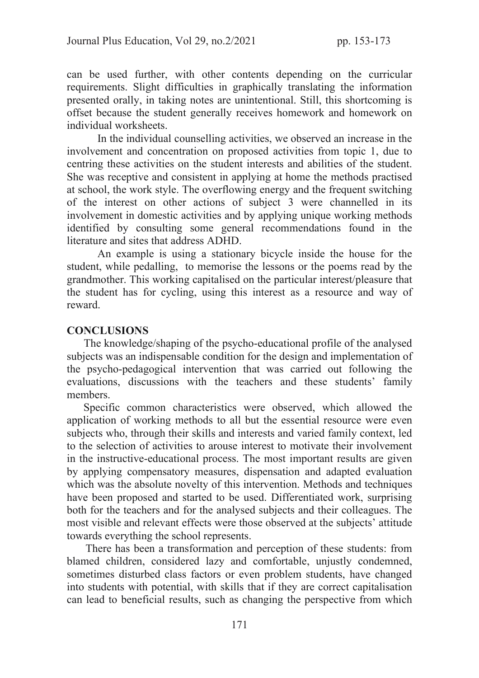can be used further, with other contents depending on the curricular requirements. Slight difficulties in graphically translating the information presented orally, in taking notes are unintentional. Still, this shortcoming is offset because the student generally receives homework and homework on individual worksheets.

 In the individual counselling activities, we observed an increase in the involvement and concentration on proposed activities from topic 1, due to centring these activities on the student interests and abilities of the student. She was receptive and consistent in applying at home the methods practised at school, the work style. The overflowing energy and the frequent switching of the interest on other actions of subject 3 were channelled in its involvement in domestic activities and by applying unique working methods identified by consulting some general recommendations found in the literature and sites that address ADHD.

 An example is using a stationary bicycle inside the house for the student, while pedalling, to memorise the lessons or the poems read by the grandmother. This working capitalised on the particular interest/pleasure that the student has for cycling, using this interest as a resource and way of reward.

#### **CONCLUSIONS**

 The knowledge/shaping of the psycho-educational profile of the analysed subjects was an indispensable condition for the design and implementation of the psycho-pedagogical intervention that was carried out following the evaluations, discussions with the teachers and these students' family members.

 Specific common characteristics were observed, which allowed the application of working methods to all but the essential resource were even subjects who, through their skills and interests and varied family context, led to the selection of activities to arouse interest to motivate their involvement in the instructive-educational process. The most important results are given by applying compensatory measures, dispensation and adapted evaluation which was the absolute novelty of this intervention. Methods and techniques have been proposed and started to be used. Differentiated work, surprising both for the teachers and for the analysed subjects and their colleagues. The most visible and relevant effects were those observed at the subjects' attitude towards everything the school represents.

 There has been a transformation and perception of these students: from blamed children, considered lazy and comfortable, unjustly condemned, sometimes disturbed class factors or even problem students, have changed into students with potential, with skills that if they are correct capitalisation can lead to beneficial results, such as changing the perspective from which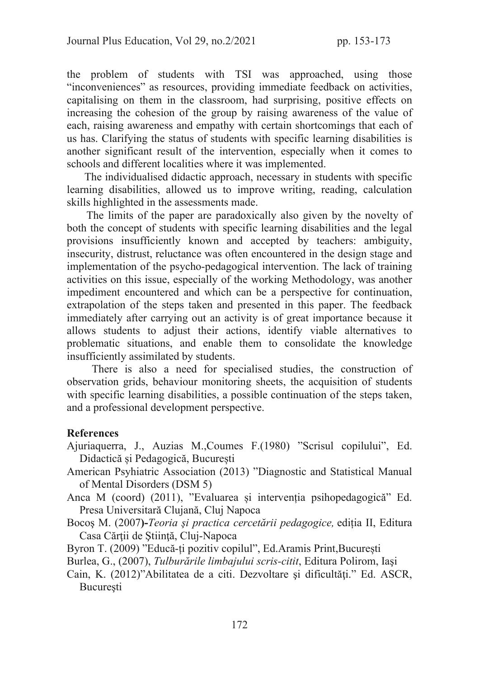the problem of students with TSI was approached, using those "inconveniences" as resources, providing immediate feedback on activities, capitalising on them in the classroom, had surprising, positive effects on increasing the cohesion of the group by raising awareness of the value of each, raising awareness and empathy with certain shortcomings that each of us has. Clarifying the status of students with specific learning disabilities is another significant result of the intervention, especially when it comes to schools and different localities where it was implemented.

 The individualised didactic approach, necessary in students with specific learning disabilities, allowed us to improve writing, reading, calculation skills highlighted in the assessments made.

 The limits of the paper are paradoxically also given by the novelty of both the concept of students with specific learning disabilities and the legal provisions insufficiently known and accepted by teachers: ambiguity, insecurity, distrust, reluctance was often encountered in the design stage and implementation of the psycho-pedagogical intervention. The lack of training activities on this issue, especially of the working Methodology, was another impediment encountered and which can be a perspective for continuation, extrapolation of the steps taken and presented in this paper. The feedback immediately after carrying out an activity is of great importance because it allows students to adjust their actions, identify viable alternatives to problematic situations, and enable them to consolidate the knowledge insufficiently assimilated by students.

 There is also a need for specialised studies, the construction of observation grids, behaviour monitoring sheets, the acquisition of students with specific learning disabilities, a possible continuation of the steps taken, and a professional development perspective.

#### **References**

- Ajuriaquerra, J., Auzias M.,Coumes F.(1980) "Scrisul copilului", Ed. Didactică și Pedagogică, București
- American Psyhiatric Association (2013) "Diagnostic and Statistical Manual of Mental Disorders (DSM 5)
- Anca M (coord) (2011), "Evaluarea și intervenția psihopedagogică" Ed. Presa Universitară Clujană, Cluj Napoca
- Bocoş M. (2007)-Teoria şi practica cercetării pedagogice, ediția II, Editura Casa Cărţii de Ştiinţă, Cluj-Napoca
- Byron T. (2009) "Educă-ți pozitiv copilul", Ed.Aramis Print,București
- Burlea, G., (2007), Tulburările limbajului scris-citit, Editura Polirom, Iaşi
- Cain, K. (2012)"Abilitatea de a citi. Dezvoltare şi dificultăţi." Ed. ASCR, **Bucuresti**